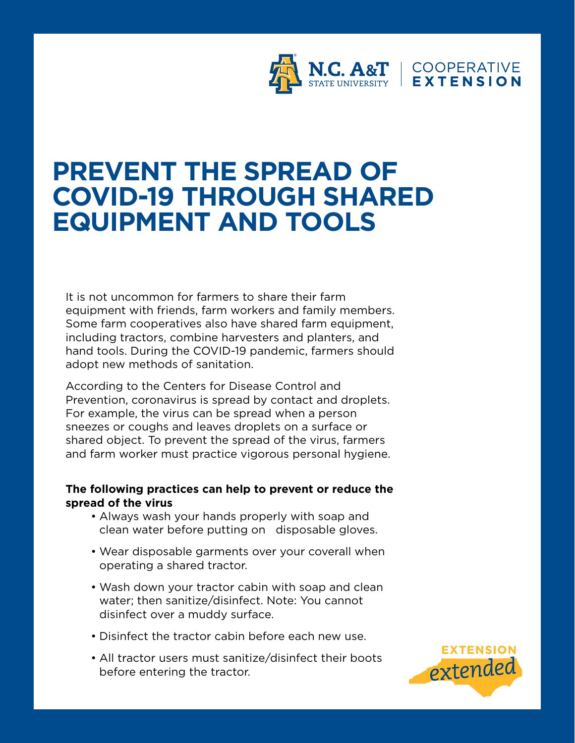

## **PREVENT THE SPREAD OF COVID-19 THROUGH SHARED EQUIPMENT AND TOOLS**

It is not uncommon for farmers to share their farm equipment with friends, farm workers and family members. Some farm cooperatives also have shared farm equipment, including tractors, combine harvesters and planters, and hand tools. During the COVID-19 pandemic, farmers should adopt new methods of sanitation.

According to the Centers for Disease Control and Prevention, coronavirus is spread by contact and droplets. For example, the virus can be spread when a person sneezes or coughs and leaves droplets on a surface or shared object. To prevent the spread of the virus, farmers and farm worker must practice vigorous personal hygiene.

## **The following practices can help to prevent or reduce the spread of the virus**

- Always wash your hands properly with soap and clean water before putting on disposable gloves.
- Wear disposable garments over your coverall when operating a shared tractor.
- Wash down your tractor cabin with soap and clean water; then sanitize/disinfect. Note: You cannot disinfect over a muddy surface.
- Disinfect the tractor cabin before each new use.
- All tractor users must sanitize/disinfect their boots before entering the tractor.